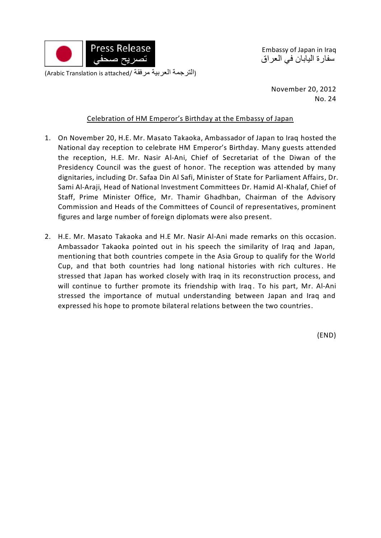

Embassy of Japan in Iraq سفارة اليابان في العراق

> November 20, 2012 No. 24

## Celebration of HM Emperor's Birthday at the Embassy of Japan

- 1. On November 20, H.E. Mr. Masato Takaoka, Ambassador of Japan to Iraq hosted the National day reception to celebrate HM Emperor's Birthday. Many guests attended the reception, H.E. Mr. Nasir Al-Ani, Chief of Secretariat of the Diwan of the Presidency Council was the guest of honor. The reception was attended by many dignitaries, including Dr. Safaa Din Al Safi, Minister of State for Parliament Affairs, Dr. Sami Al-Araji, Head of National Investment Committees Dr. Hamid Al-Khalaf, Chief of Staff, Prime Minister Office, Mr. Thamir Ghadhban, Chairman of the Advisory Commission and Heads of the Committees of Council of representatives, prominent figures and large number of foreign diplomats were also present.
- 2. H.E. Mr. Masato Takaoka and H.E Mr. Nasir Al-Ani made remarks on this occasion. Ambassador Takaoka pointed out in his speech the similarity of Iraq and Japan, mentioning that both countries compete in the Asia Group to qualify for the World Cup, and that both countries had long national histories with rich cultures. He stressed that Japan has worked closely with Iraq in its reconstruction process, and will continue to further promote its friendship with Iraq. To his part, Mr. Al-Ani stressed the importance of mutual understanding between Japan and Iraq and expressed his hope to promote bilateral relations between the two countries.

(END)